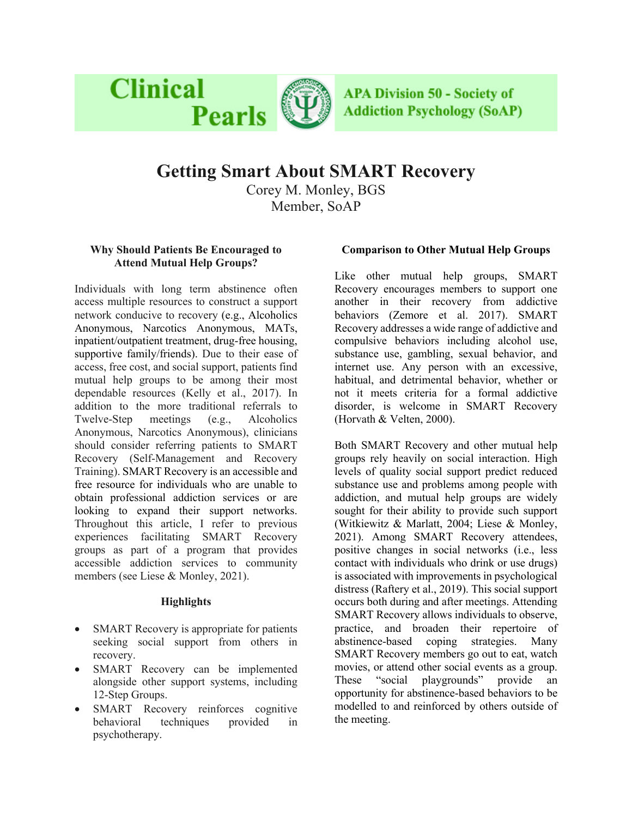

**APA Division 50 - Society of Addiction Psychology (SoAP)** 

# **Getting Smart About SMART Recovery**

Corey M. Monley, BGS Member, SoAP

## **Why Should Patients Be Encouraged to Attend Mutual Help Groups?**

**Clinical** 

Individuals with long term abstinence often access multiple resources to construct a support network conducive to recovery (e.g., Alcoholics Anonymous, Narcotics Anonymous, MATs, inpatient/outpatient treatment, drug-free housing, supportive family/friends). Due to their ease of access, free cost, and social support, patients find mutual help groups to be among their most dependable resources (Kelly et al., 2017). In addition to the more traditional referrals to Twelve-Step meetings (e.g., Alcoholics Anonymous, Narcotics Anonymous), clinicians should consider referring patients to SMART Recovery (Self-Management and Recovery Training). SMART Recovery is an accessible and free resource for individuals who are unable to obtain professional addiction services or are looking to expand their support networks. Throughout this article, I refer to previous experiences facilitating SMART Recovery groups as part of a program that provides accessible addiction services to community members (see Liese & Monley, 2021).

## **Highlights**

- SMART Recovery is appropriate for patients seeking social support from others in recovery.
- SMART Recovery can be implemented alongside other support systems, including 12-Step Groups.
- SMART Recovery reinforces cognitive behavioral techniques provided in psychotherapy.

## **Comparison to Other Mutual Help Groups**

Like other mutual help groups, SMART Recovery encourages members to support one another in their recovery from addictive behaviors (Zemore et al. 2017). SMART Recovery addresses a wide range of addictive and compulsive behaviors including alcohol use, substance use, gambling, sexual behavior, and internet use. Any person with an excessive, habitual, and detrimental behavior, whether or not it meets criteria for a formal addictive disorder, is welcome in SMART Recovery (Horvath & Velten, 2000).

Both SMART Recovery and other mutual help groups rely heavily on social interaction. High levels of quality social support predict reduced substance use and problems among people with addiction, and mutual help groups are widely sought for their ability to provide such support (Witkiewitz & Marlatt, 2004; Liese & Monley, 2021). Among SMART Recovery attendees, positive changes in social networks (i.e., less contact with individuals who drink or use drugs) is associated with improvements in psychological distress (Raftery et al., 2019). This social support occurs both during and after meetings. Attending SMART Recovery allows individuals to observe, practice, and broaden their repertoire of abstinence-based coping strategies. Many SMART Recovery members go out to eat, watch movies, or attend other social events as a group. These "social playgrounds" provide an opportunity for abstinence-based behaviors to be modelled to and reinforced by others outside of the meeting.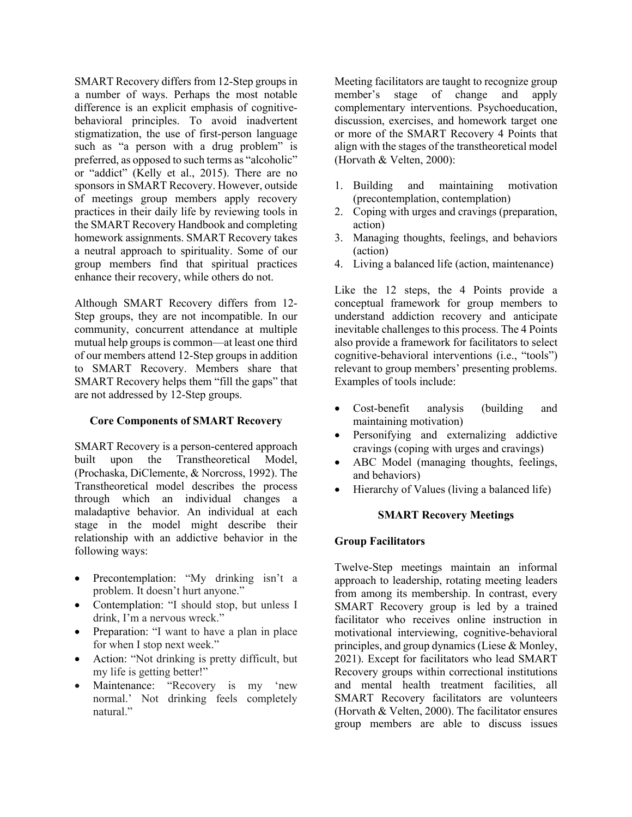SMART Recovery differs from 12-Step groups in a number of ways. Perhaps the most notable difference is an explicit emphasis of cognitivebehavioral principles. To avoid inadvertent stigmatization, the use of first-person language such as "a person with a drug problem" is preferred, as opposed to such terms as "alcoholic" or "addict" (Kelly et al., 2015). There are no sponsors in SMART Recovery. However, outside of meetings group members apply recovery practices in their daily life by reviewing tools in the SMART Recovery Handbook and completing homework assignments. SMART Recovery takes a neutral approach to spirituality. Some of our group members find that spiritual practices enhance their recovery, while others do not.

Although SMART Recovery differs from 12- Step groups, they are not incompatible. In our community, concurrent attendance at multiple mutual help groups is common—at least one third of our members attend 12-Step groups in addition to SMART Recovery. Members share that SMART Recovery helps them "fill the gaps" that are not addressed by 12-Step groups.

#### **Core Components of SMART Recovery**

SMART Recovery is a person-centered approach built upon the Transtheoretical Model, (Prochaska, DiClemente, & Norcross, 1992). The Transtheoretical model describes the process through which an individual changes a maladaptive behavior. An individual at each stage in the model might describe their relationship with an addictive behavior in the following ways:

- Precontemplation: "My drinking isn't a problem. It doesn't hurt anyone."
- Contemplation: "I should stop, but unless I drink, I'm a nervous wreck."
- Preparation: "I want to have a plan in place for when I stop next week."
- Action: "Not drinking is pretty difficult, but my life is getting better!"
- Maintenance: "Recovery is my 'new normal.' Not drinking feels completely natural."

Meeting facilitators are taught to recognize group member's stage of change and apply complementary interventions. Psychoeducation, discussion, exercises, and homework target one or more of the SMART Recovery 4 Points that align with the stages of the transtheoretical model (Horvath & Velten, 2000):

- 1. Building and maintaining motivation (precontemplation, contemplation)
- 2. Coping with urges and cravings (preparation, action)
- 3. Managing thoughts, feelings, and behaviors (action)
- 4. Living a balanced life (action, maintenance)

Like the 12 steps, the 4 Points provide a conceptual framework for group members to understand addiction recovery and anticipate inevitable challenges to this process. The 4 Points also provide a framework for facilitators to select cognitive-behavioral interventions (i.e., "tools") relevant to group members' presenting problems. Examples of tools include:

- Cost-benefit analysis (building and maintaining motivation)
- Personifying and externalizing addictive cravings (coping with urges and cravings)
- ABC Model (managing thoughts, feelings, and behaviors)
- Hierarchy of Values (living a balanced life)

#### **SMART Recovery Meetings**

#### **Group Facilitators**

Twelve-Step meetings maintain an informal approach to leadership, rotating meeting leaders from among its membership. In contrast, every SMART Recovery group is led by a trained facilitator who receives online instruction in motivational interviewing, cognitive-behavioral principles, and group dynamics (Liese & Monley, 2021). Except for facilitators who lead SMART Recovery groups within correctional institutions and mental health treatment facilities, all SMART Recovery facilitators are volunteers (Horvath & Velten, 2000). The facilitator ensures group members are able to discuss issues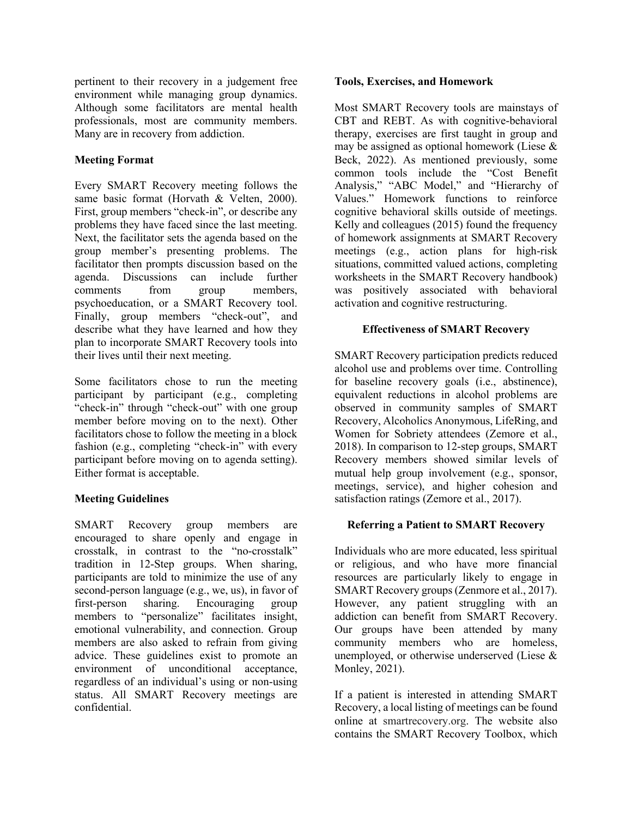pertinent to their recovery in a judgement free environment while managing group dynamics. Although some facilitators are mental health professionals, most are community members. Many are in recovery from addiction.

## **Meeting Format**

Every SMART Recovery meeting follows the same basic format (Horvath & Velten, 2000). First, group members "check-in", or describe any problems they have faced since the last meeting. Next, the facilitator sets the agenda based on the group member's presenting problems. The facilitator then prompts discussion based on the agenda. Discussions can include further comments from group members, psychoeducation, or a SMART Recovery tool. Finally, group members "check-out", and describe what they have learned and how they plan to incorporate SMART Recovery tools into their lives until their next meeting.

Some facilitators chose to run the meeting participant by participant (e.g., completing "check-in" through "check-out" with one group member before moving on to the next). Other facilitators chose to follow the meeting in a block fashion (e.g., completing "check-in" with every participant before moving on to agenda setting). Either format is acceptable.

## **Meeting Guidelines**

SMART Recovery group members are encouraged to share openly and engage in crosstalk, in contrast to the "no-crosstalk" tradition in 12-Step groups. When sharing, participants are told to minimize the use of any second-person language (e.g., we, us), in favor of first-person sharing. Encouraging group members to "personalize" facilitates insight, emotional vulnerability, and connection. Group members are also asked to refrain from giving advice. These guidelines exist to promote an environment of unconditional acceptance, regardless of an individual's using or non-using status. All SMART Recovery meetings are confidential.

#### **Tools, Exercises, and Homework**

Most SMART Recovery tools are mainstays of CBT and REBT. As with cognitive-behavioral therapy, exercises are first taught in group and may be assigned as optional homework (Liese  $\&$ Beck, 2022). As mentioned previously, some common tools include the "Cost Benefit Analysis," "ABC Model," and "Hierarchy of Values." Homework functions to reinforce cognitive behavioral skills outside of meetings. Kelly and colleagues (2015) found the frequency of homework assignments at SMART Recovery meetings (e.g., action plans for high-risk situations, committed valued actions, completing worksheets in the SMART Recovery handbook) was positively associated with behavioral activation and cognitive restructuring.

## **Effectiveness of SMART Recovery**

SMART Recovery participation predicts reduced alcohol use and problems over time. Controlling for baseline recovery goals (i.e., abstinence), equivalent reductions in alcohol problems are observed in community samples of SMART Recovery, Alcoholics Anonymous, LifeRing, and Women for Sobriety attendees (Zemore et al., 2018). In comparison to 12-step groups, SMART Recovery members showed similar levels of mutual help group involvement (e.g., sponsor, meetings, service), and higher cohesion and satisfaction ratings (Zemore et al., 2017).

## **Referring a Patient to SMART Recovery**

Individuals who are more educated, less spiritual or religious, and who have more financial resources are particularly likely to engage in SMART Recovery groups (Zenmore et al., 2017). However, any patient struggling with an addiction can benefit from SMART Recovery. Our groups have been attended by many community members who are homeless, unemployed, or otherwise underserved (Liese & Monley, 2021).

If a patient is interested in attending SMART Recovery, a local listing of meetings can be found online at smartrecovery.org. The website also contains the SMART Recovery Toolbox, which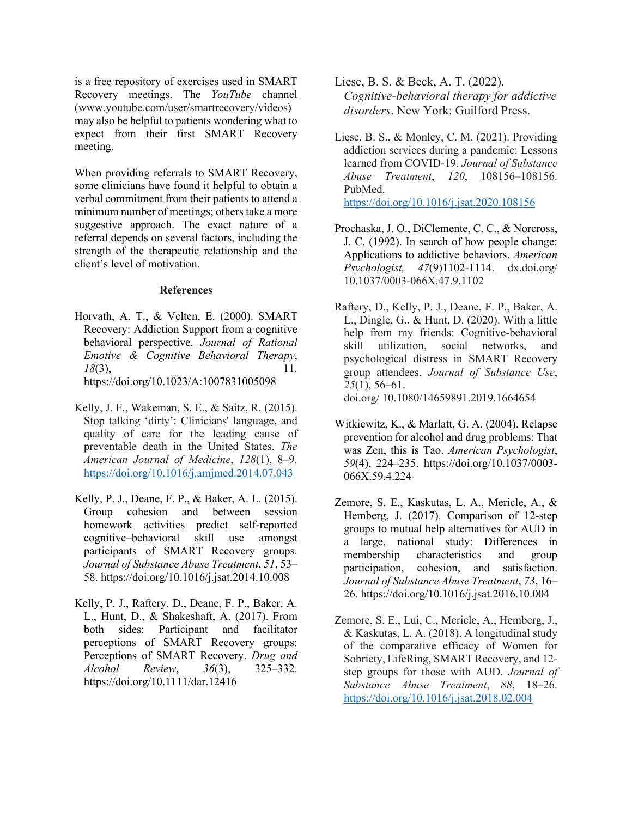is a free repository of exercises used in SMART Recovery meetings. The *YouTube* channel (www.youtube.com/user/smartrecovery/videos) may also be helpful to patients wondering what to expect from their first SMART Recovery meeting.

When providing referrals to SMART Recovery, some clinicians have found it helpful to obtain a verbal commitment from their patients to attend a minimum number of meetings; others take a more suggestive approach. The exact nature of a referral depends on several factors, including the strength of the therapeutic relationship and the client's level of motivation.

#### **References**

- Horvath, A. T., & Velten, E. (2000). SMART Recovery: Addiction Support from a cognitive behavioral perspective. *Journal of Rational Emotive & Cognitive Behavioral Therapy*, *18*(3), 11. https://doi.org/10.1023/A:1007831005098
- Kelly, J. F., Wakeman, S. E., & Saitz, R. (2015). Stop talking 'dirty': Clinicians' language, and quality of care for the leading cause of preventable death in the United States. *The American Journal of Medicine*, *128*(1), 8–9. https://doi.org/10.1016/j.amjmed.2014.07.043
- Kelly, P. J., Deane, F. P., & Baker, A. L. (2015). Group cohesion and between session homework activities predict self-reported cognitive–behavioral skill use amongst participants of SMART Recovery groups. *Journal of Substance Abuse Treatment*, *51*, 53– 58. https://doi.org/10.1016/j.jsat.2014.10.008
- Kelly, P. J., Raftery, D., Deane, F. P., Baker, A. L., Hunt, D., & Shakeshaft, A. (2017). From both sides: Participant and facilitator perceptions of SMART Recovery groups: Perceptions of SMART Recovery. *Drug and Alcohol Review*, *36*(3), 325–332. https://doi.org/10.1111/dar.12416
- Liese, B. S. & Beck, A. T. (2022). *Cognitive-behavioral therapy for addictive disorders*. New York: Guilford Press.
- Liese, B. S., & Monley, C. M. (2021). Providing addiction services during a pandemic: Lessons learned from COVID-19. *Journal of Substance Abuse Treatment*, *120*, 108156–108156. PubMed. https://doi.org/10.1016/j.jsat.2020.108156
- Prochaska, J. O., DiClemente, C. C., & Norcross, J. C. (1992). In search of how people change: Applications to addictive behaviors. *American Psychologist, 47*(9)1102-1114. dx.doi.org/ 10.1037/0003-066X.47.9.1102
- Raftery, D., Kelly, P. J., Deane, F. P., Baker, A. L., Dingle, G., & Hunt, D. (2020). With a little help from my friends: Cognitive-behavioral skill utilization, social networks, and psychological distress in SMART Recovery group attendees. *Journal of Substance Use*, *25*(1), 56–61. doi.org/ 10.1080/14659891.2019.1664654
- Witkiewitz, K., & Marlatt, G. A. (2004). Relapse prevention for alcohol and drug problems: That was Zen, this is Tao. *American Psychologist*, *59*(4), 224–235. https://doi.org/10.1037/0003- 066X.59.4.224
- Zemore, S. E., Kaskutas, L. A., Mericle, A., & Hemberg, J. (2017). Comparison of 12-step groups to mutual help alternatives for AUD in a large, national study: Differences in membership characteristics and group participation, cohesion, and satisfaction. *Journal of Substance Abuse Treatment*, *73*, 16– 26. https://doi.org/10.1016/j.jsat.2016.10.004
- Zemore, S. E., Lui, C., Mericle, A., Hemberg, J., & Kaskutas, L. A. (2018). A longitudinal study of the comparative efficacy of Women for Sobriety, LifeRing, SMART Recovery, and 12 step groups for those with AUD. *Journal of Substance Abuse Treatment*, *88*, 18–26. https://doi.org/10.1016/j.jsat.2018.02.004